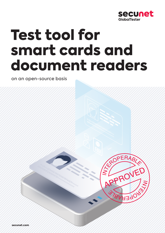

# Test tool for smart cards and document readers

on an open-source basis

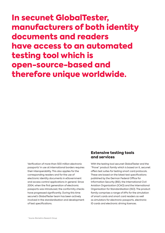# In secunet GlobalTester, manufacturers of both identity documents and readers have access to an automated testing tool which is open-source-based and therefore unique worldwide.

Verification of more than 500 million electronic passports<sup>1</sup> in use at international borders requires their interoperability. This also applies for the corresponding readers and for the use of electronic identity documents in eGovernment and access control applications in general. Since 2004, when the first generation of electronic passports was introduced, the conformity checks have progressed significantly. During this time secunet's GlobalTester team has been actively involved in the standardisation and development of test specifications.

#### Extensive testing tools and services

With the testing tool secunet GlobalTester and the "Prove" product family which is based on it, secunet offers test suites for testing smart card protocols. These are based on the latest test specifications published by the German Federal Office for Information Security (BSI), the International Civil Aviation Organization (ICAO) and the International Organisation for Standardisation (ISO). The product family comprises a range of APIs for the simulation of smart cards and smart card readers as well as simulators for electronic passports, electronic ID cards and electronic driving licences.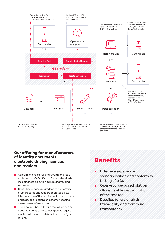

## Our offering for manufacturers of identity documents, electronic driving licences and readers

- Conformity checks for smart cards and readers based on ICAO, ISO and BSI test standards including test execution, failure analysis and test report
- Consulting services related to the conformity of smart cards and readers or protocols, e.g. interpretation of the requirements of standards and test specifications or customer-specific development of test cases
- Open-source-based testing tool which can be adapted flexibly to customer-specific requirements, test cases and different card configurations.

# **Benefits**

- **■** Extensive experience in standardisation and conformity testing of eIDs
- Open-source-based platform allows flexible customization of the test tool
- **■** Detailed failure analysis, traceability and maximum transparency